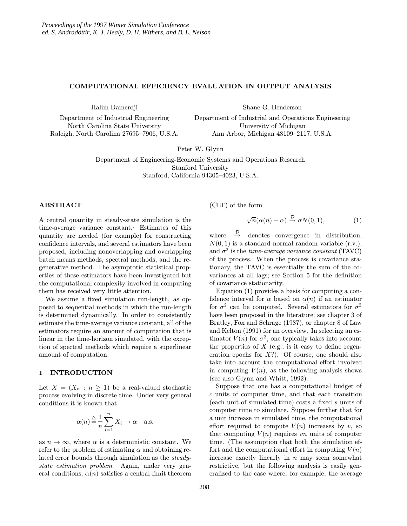# COMPUTATIONAL EFFICIENCY EVALUATION IN OUTPUT ANALYSIS

Halim Damerdji

Shane G. Henderson

Department of Industrial Engineering North Carolina State University Raleigh, North Carolina 27695–7906, U.S.A. Department of Industrial and Operations Engineering University of Michigan Ann Arbor, Michigan 48109–2117, U.S.A.

Peter W. Glynn

Department of Engineering-Economic Systems and Operations Research Stanford University Stanford, California 94305–4023, U.S.A.

# ABSTRACT

A central quantity in steady-state simulation is the time-average variance constant. Estimates of this quantity are needed (for example) for constructing confidence intervals, and several estimators have been proposed, including nonoverlapping and overlapping batch means methods, spectral methods, and the regenerative method. The asymptotic statistical properties of these estimators have been investigated but the computational complexity involved in computing them has received very little attention.

We assume a fixed simulation run-length, as opposed to sequential methods in which the run-length is determined dynamically. In order to consistently estimate the time-average variance constant, all of the estimators require an amount of computation that is linear in the time-horizon simulated, with the exception of spectral methods which require a superlinear amount of computation.

# 1 INTRODUCTION

Let  $X = (X_n : n \geq 1)$  be a real-valued stochastic process evolving in discrete time. Under very general conditions it is known that

$$
\alpha(n) \stackrel{\triangle}{=} \frac{1}{n} \sum_{i=1}^{n} X_i \to \alpha \quad \text{a.s.}
$$

as  $n \to \infty$ , where  $\alpha$  is a deterministic constant. We refer to the problem of estimating  $\alpha$  and obtaining related error bounds through simulation as the steadystate estimation problem. Again, under very general conditions,  $\alpha(n)$  satisfies a central limit theorem (CLT) of the form

$$
\sqrt{n}(\alpha(n) - \alpha) \stackrel{\mathcal{D}}{\rightarrow} \sigma N(0, 1), \tag{1}
$$

where  $\stackrel{\mathcal{D}}{\rightarrow}$ denotes convergence in distribution,  $N(0, 1)$  is a standard normal random variable  $(r.v.)$ , and  $\sigma^2$  is the *time-average variance constant* (TAVC) of the process. When the process is covariance stationary, the TAVC is essentially the sum of the covariances at all lags; see Section 5 for the definition of covariance stationarity.

Equation (1) provides a basis for computing a confidence interval for  $\alpha$  based on  $\alpha(n)$  if an estimator for  $\sigma^2$  can be computed. Several estimators for  $\sigma^2$ have been proposed in the literature; see chapter 3 of Bratley, Fox and Schrage (1987), or chapter 8 of Law and Kelton (1991) for an overview. In selecting an estimator  $V(n)$  for  $\sigma^2$ , one typically takes into account the properties of  $X$  (e.g., is it easy to define regeneration epochs for  $X$ ?). Of course, one should also take into account the computational effort involved in computing  $V(n)$ , as the following analysis shows (see also Glynn and Whitt, 1992).

Suppose that one has a computational budget of c units of computer time, and that each transition (each unit of simulated time) costs a fixed s units of computer time to simulate. Suppose further that for a unit increase in simulated time, the computational effort required to compute  $V(n)$  increases by v, so that computing  $V(n)$  requires vn units of computer time. (The assumption that both the simulation effort and the computational effort in computing  $V(n)$ increase exactly linearly in  $n$  may seem somewhat restrictive, but the following analysis is easily generalized to the case where, for example, the average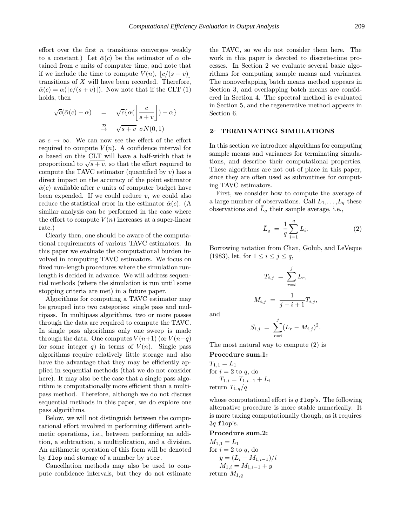effort over the first  $n$  transitions converges weakly to a constant.) Let  $\bar{\alpha}(c)$  be the estimator of  $\alpha$  obtained from c units of computer time, and note that if we include the time to compute  $V(n)$ ,  $\lfloor c/(s + v) \rfloor$ transitions of  $X$  will have been recorded. Therefore,  $\bar{\alpha}(c) = \alpha(|c/(s + v)|)$ . Now note that if the CLT (1) holds, then

$$
\sqrt{c}(\bar{\alpha}(c) - \alpha) = \sqrt{c}\{\alpha(\left\lfloor \frac{c}{s+v} \right\rfloor) - \alpha\}
$$

$$
\xrightarrow{\mathcal{D}} \sqrt{s+v} \sigma N(0,1)
$$

as  $c \to \infty$ . We can now see the effect of the effort required to compute  $V(n)$ . A confidence interval for  $\alpha$  based on this CLT will have a half-width that is proportional to  $\sqrt{s+v}$ , so that the effort required to compute the TAVC estimator (quantified by  $v$ ) has a direct impact on the accuracy of the point estimator  $\bar{\alpha}(c)$  available after c units of computer budget have been expended. If we could reduce  $v$ , we could also reduce the statistical error in the estimator  $\bar{\alpha}(c)$ . (A similar analysis can be performed in the case where the effort to compute  $V(n)$  increases at a super-linear rate.)

Clearly then, one should be aware of the computational requirements of various TAVC estimators. In this paper we evaluate the computational burden involved in computing TAVC estimators. We focus on fixed run-length procedures where the simulation runlength is decided in advance. We will address sequential methods (where the simulation is run until some stopping criteria are met) in a future paper.

Algorithms for computing a TAVC estimator may be grouped into two categories: single pass and multipass. In multipass algorithms, two or more passes through the data are required to compute the TAVC. In single pass algorithms only one sweep is made through the data. One computes  $V(n+1)$  (or  $V(n+q)$ ) for some integer q) in terms of  $V(n)$ . Single pass algorithms require relatively little storage and also have the advantage that they may be efficiently applied in sequential methods (that we do not consider here). It may also be the case that a single pass algorithm is computationally more efficient than a multipass method. Therefore, although we do not discuss sequential methods in this paper, we do explore one pass algorithms.

Below, we will not distinguish between the computational effort involved in performing different arithmetic operations, i.e., between performing an addition, a subtraction, a multiplication, and a division. An arithmetic operation of this form will be denoted by flop and storage of a number by stor.

Cancellation methods may also be used to compute confidence intervals, but they do not estimate the TAVC, so we do not consider them here. The work in this paper is devoted to discrete-time processes. In Section 2 we evaluate several basic algorithms for computing sample means and variances. The nonoverlapping batch means method appears in Section 3, and overlapping batch means are considered in Section 4. The spectral method is evaluated in Section 5, and the regenerative method appears in Section 6.

# 2- TERMINATING SIMULATIONS

In this section we introduce algorithms for computing sample means and variances for terminating simulations, and describe their computational properties. These algorithms are not out of place in this paper, since they are often used as subroutines for computing TAVC estimators.

First, we consider how to compute the average of a large number of observations. Call  $L_1, \ldots, L_q$  these observations and  $\bar{L}_q$  their sample average, i.e.,

$$
\bar{L}_q = \frac{1}{q} \sum_{i=1}^q L_i.
$$
 (2)

Borrowing notation from Chan, Golub, and LeVeque (1983), let, for  $1 \leq i \leq j \leq q$ ,

$$
T_{i,j} = \sum_{r=i}^{j} L_r,
$$
  

$$
M_{i,j} = \frac{1}{j-i+1} T_{i,j},
$$

and

$$
S_{i,j} = \sum_{r=i}^{j} (L_r - M_{i,j})^2.
$$

The most natural way to compute (2) is

Procedure sum.1:

 $T_{1,1} = L_1$ for  $i = 2$  to  $q$ , do  $T_{1,i} = T_{1,i-1} + L_i$ return  $T_{1,q}/q$ 

whose computational effort is  $q$  flop's. The following alternative procedure is more stable numerically. It is more taxing computationally though, as it requires 3q flop's.

#### Procedure sum.2:

 $M_{1,1} = L_1$ for  $i = 2$  to q, do  $y = (L_i - M_{1,i-1})/i$  $M_{1,i} = M_{1,i-1} + y$ return  $M_{1,q}$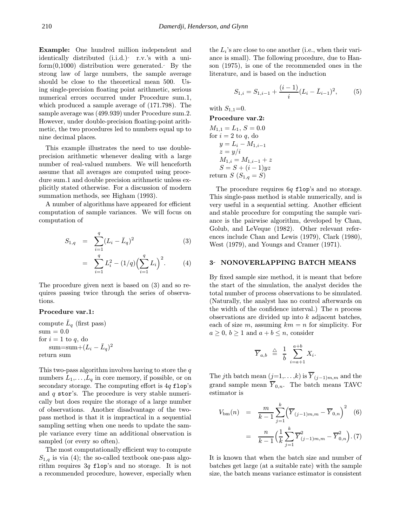Example: One hundred million independent and identically distributed  $(i.i.d.)$  r.v.'s with a uniform $(0,1000)$  distribution were generated. By the strong law of large numbers, the sample average should be close to the theoretical mean 500. Using single-precision floating point arithmetic, serious numerical errors occurred under Procedure sum.1, which produced a sample average of (171.798). The sample average was (499.939) under Procedure sum.2. However, under double-precision floating-point arithmetic, the two procedures led to numbers equal up to nine decimal places.

This example illustrates the need to use doubleprecision arithmetic whenever dealing with a large number of real-valued numbers. We will henceforth assume that all averages are computed using procedure sum.1 and double precision arithmetic unless explicitly stated otherwise. For a discussion of modern summation methods, see Higham (1993).

A number of algorithms have appeared for efficient computation of sample variances. We will focus on computation of

$$
S_{1,q} = \sum_{i=1}^{q} (L_i - \bar{L}_q)^2
$$
(3)  

$$
= \sum_{i=1}^{q} L_i^2 - (1/q) \Big( \sum_{i=1}^{q} L_i \Big)^2.
$$
(4)

The procedure given next is based on (3) and so requires passing twice through the series of observations.

# Procedure var.1:

compute  $\bar{L}_q$  (first pass)  $sum = 0.0$ for  $i = 1$  to  $q$ , do sum=sum+ $(L_i - \bar{L}_q)^2$ return sum

This two-pass algorithm involves having to store the  $q$ numbers  $L_1, \ldots, L_q$  in core memory, if possible, or on secondary storage. The computing effort is  $4q$  flop's and  $q$  stor's. The procedure is very stable numerically but does require the storage of a large number of observations. Another disadvantage of the twopass method is that it is impractical in a sequential sampling setting when one needs to update the sample variance every time an additional observation is sampled (or every so often).

The most computationally efficient way to compute  $S_{1,q}$  is via (4); the so-called textbook one-pass algorithm requires 3q flop's and no storage. It is not a recommended procedure, however, especially when the  $L_i$ 's are close to one another (i.e., when their variance is small). The following procedure, due to Hanson (1975), is one of the recommended ones in the literature, and is based on the induction

$$
S_{1,i} = S_{1,i-1} + \frac{(i-1)}{i} (L_i - \bar{L}_{i-1})^2, \qquad (5)
$$

with  $S_{1,1}=0$ .

Procedure var.2:  $M_{1,1} = L_1, S = 0.0$ for  $i = 2$  to q, do  $y = L_i - M_{1,i-1}$  $z = y/i$  $M_{1,i} = M_{1,i-1} + z$  $S = S + (i-1)yz$ return  $S(S_{1,q} = S)$ 

The procedure requires  $6q$  flop's and no storage. This single-pass method is stable numerically, and is very useful in a sequential setting. Another efficient and stable procedure for computing the sample variance is the pairwise algorithm, developed by Chan, Golub, and LeVeque (1982). Other relevant references include Chan and Lewis (1979), Clark (1980), West (1979), and Youngs and Cramer (1971).

### 3- NONOVERLAPPING BATCH MEANS

By fixed sample size method, it is meant that before the start of the simulation, the analyst decides the total number of process observations to be simulated. (Naturally, the analyst has no control afterwards on the width of the confidence interval.) The  $n$  process observations are divided up into  $k$  adjacent batches, each of size m, assuming  $km = n$  for simplicity. For  $a \geq 0, b \geq 1$  and  $a + b \leq n$ , consider

$$
\overline{Y}_{a,b} \triangleq \frac{1}{b} \sum_{i=a+1}^{a+b} X_i.
$$

The jth batch mean  $(j=1,\ldots,k)$  is  $\overline{Y}_{(j-1)m,m}$  and the grand sample mean  $\overline{Y}_{0,n}$ . The batch means TAVC estimator is

$$
V_{\text{bm}}(n) = \frac{m}{k-1} \sum_{j=1}^{k} \left( \overline{Y}_{(j-1)m,m} - \overline{Y}_{0,n} \right)^2 \quad (6)
$$

$$
= \frac{n}{k-1} \left( \frac{1}{k} \sum_{j=1}^{k} \overline{Y}_{(j-1)m,m}^2 - \overline{Y}_{0,n}^2 \right). (7)
$$

It is known that when the batch size and number of batches get large (at a suitable rate) with the sample size, the batch means variance estimator is consistent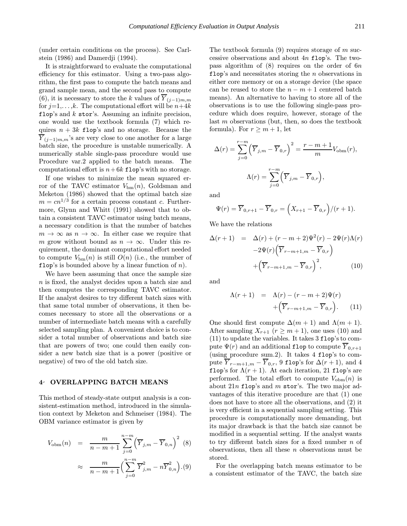(under certain conditions on the process). See Carlstein (1986) and Damerdji (1994).

It is straightforward to evaluate the computational efficiency for this estimator. Using a two-pass algorithm, the first pass to compute the batch means and grand sample mean, and the second pass to compute (6), it is necessary to store the k values of  $\overline{Y}_{(j-1)m,m}$ for  $j=1,\ldots,k$ . The computational effort will be  $n+4k$ flop's and  $k$  stor's. Assuming an infinite precision, one would use the textbook formula (7) which requires  $n + 3k$  flop's and no storage. Because the  $\overline{Y}_{(j-1)m,m}$ 's are very close to one another for a large batch size, the procedure is unstable numerically. A numerically stable single-pass procedure would use Procedure var.2 applied to the batch means. The computational effort is  $n+6k$  flop's with no storage.

If one wishes to minimize the mean squared error of the TAVC estimator  $V_{\text{bm}}(n)$ , Goldsman and Meketon (1986) showed that the optimal batch size  $m = cn^{1/3}$  for a certain process constant c. Furthermore, Glynn and Whitt (1991) showed that to obtain a consistent TAVC estimator using batch means, a necessary condition is that the number of batches  $m \to \infty$  as  $n \to \infty$ . In either case we require that m grow without bound as  $n \to \infty$ . Under this requirement, the dominant computational effort needed to compute  $V_{\text{bm}}(n)$  is still  $O(n)$  (i.e., the number of flop's is bounded above by a linear function of  $n$ ).

We have been assuming that once the sample size n is fixed, the analyst decides upon a batch size and then computes the corresponding TAVC estimator. If the analyst desires to try different batch sizes with that same total number of observations, it then becomes necessary to store all the observations or a number of intermediate batch means with a carefully selected sampling plan. A convenient choice is to consider a total number of observations and batch size that are powers of two; one could then easily consider a new batch size that is a power (positive or negative) of two of the old batch size.

### 4 OVERLAPPING BATCH MEANS

This method of steady-state output analysis is a consistent-estimation method, introduced in the simulation context by Meketon and Schmeiser (1984). The OBM variance estimator is given by

$$
V_{\text{obm}}(n) = \frac{m}{n - m + 1} \sum_{j=0}^{n - m} (\overline{Y}_{j,m} - \overline{Y}_{0,n})^2 \tag{8}
$$

$$
\approx \frac{m}{n - m + 1} \left( \sum_{j=0}^{n - m} \overline{Y}_{j,m}^2 - n \overline{Y}_{0,n}^2 \right). (9)
$$

The textbook formula  $(9)$  requires storage of m successive observations and about 4n flop's. The twopass algorithm of  $(8)$  requires on the order of  $6n$ flop's and necessitates storing the  $n$  observations in either core memory or on a storage device (the space can be reused to store the  $n - m + 1$  centered batch means). An alternative to having to store all of the observations is to use the following single-pass procedure which does require, however, storage of the last  $m$  observations (but, then, so does the textbook formula). For  $r \geq m+1$ , let

$$
\Delta(r) = \sum_{j=0}^{r-m} \left(\overline{Y}_{j,m} - \overline{Y}_{0,r}\right)^2 = \frac{r-m+1}{m} V_{\text{obm}}(r),
$$

$$
\Lambda(r) = \sum_{j=0}^{r-m} \left(\overline{Y}_{j,m} - \overline{Y}_{0,r}\right),
$$

and

$$
\Psi(r) = \overline{Y}_{0,r+1} - \overline{Y}_{0,r} = \left(X_{r+1} - \overline{Y}_{0,r}\right)/(r+1).
$$

We have the relations

$$
\Delta(r+1) = \Delta(r) + (r-m+2)\Psi^2(r) - 2\Psi(r)\Lambda(r)
$$

$$
-2\Psi(r)\left(\overline{Y}_{r-m+1,m} - \overline{Y}_{0,r}\right)
$$

$$
+\left(\overline{Y}_{r-m+1,m} - \overline{Y}_{0,r}\right)^2, \tag{10}
$$

and

$$
\Lambda(r+1) = \Lambda(r) - (r-m+2)\Psi(r) + \left(\overline{Y}_{r-m+1,m} - \overline{Y}_{0,r}\right).
$$
 (11)

One should first compute  $\Delta(m+1)$  and  $\Lambda(m+1)$ . After sampling  $X_{r+1}$   $(r \geq m+1)$ , one uses (10) and (11) to update the variables. It takes 3 flop's to compute  $\Psi(r)$  and an additional flop to compute  $\overline{Y}_{0,r+1}$ (using procedure sum.2). It takes 4 flop's to compute  $\overline{Y}_{r-m+1,m} - \overline{Y}_{0,r}$ , 9 flop's for  $\Delta(r+1)$ , and 4 flop's for  $\Lambda(r+1)$ . At each iteration, 21 flop's are performed. The total effort to compute  $V_{\text{obm}}(n)$  is about  $21n$  flop's and m stor's. The two major advantages of this iterative procedure are that (1) one does not have to store all the observations, and (2) it is very efficient in a sequential sampling setting. This procedure is computationally more demanding, but its major drawback is that the batch size cannot be modified in a sequential setting. If the analyst wants to try different batch sizes for a fixed number  $n$  of observations, then all these  $n$  observations must be stored.

For the overlapping batch means estimator to be a consistent estimator of the TAVC, the batch size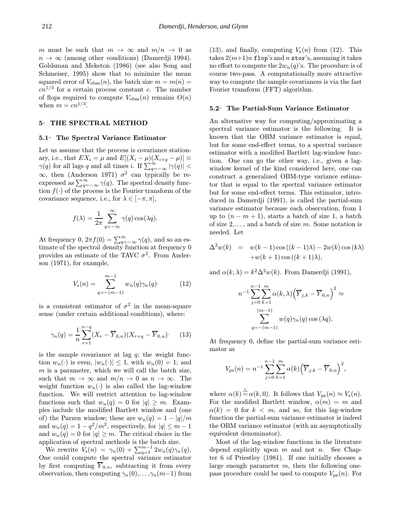m must be such that  $m \to \infty$  and  $m/n \to 0$  as  $n \to \infty$  (among other conditions) (Damerdii 1994). Goldsman and Meketon (1986) (see also Song and Schmeiser, 1995) show that to minimize the mean squared error of  $V_{\text{obm}}(n)$ , the batch size  $m = m(n)$  $cn^{1/3}$  for a certain process constant c. The number of flops required to compute  $V_{\text{obm}}(n)$  remains  $O(n)$ when  $m = c n^{1/3}$ .

### 5 THE SPECTRAL METHOD

### 5.1 The Spectral Variance Estimator

Let us assume that the process is covariance stationary, i.e., that  $EX_i = \mu$  and  $E[(X_i - \mu)(X_{i+q} - \mu)] \equiv$  $\gamma(q)$  for all lags q and all times i. If  $\sum_{q=-\infty}^{\infty} |\gamma(q)| <$  $\infty$ , then (Anderson 1971)  $\sigma^2$  can typically be reexpressed as  $\sum_{q=-\infty}^{\infty} \gamma(q)$ . The spectral density function  $f(\cdot)$  of the process is the Fourier transform of the covariance sequence, i.e., for  $\lambda \in [-\pi, \pi]$ ,

$$
f(\lambda) = \frac{1}{2\pi} \sum_{q=-\infty}^{\infty} \gamma(q) \cos(\lambda q).
$$

At frequency 0,  $2\pi f(0) = \sum_{q=-\infty}^{\infty} \gamma(q)$ , and so an estimate of the spectral density function at frequency 0 provides an estimate of the TAVC  $\sigma^2$ . From Anderson (1971), for example,

$$
V_{\rm s}(n) = \sum_{q=-(m-1)}^{m-1} w_n(q)\gamma_n(q)
$$
 (12)

is a consistent estimator of  $\sigma^2$  in the mean-square sense (under certain additional conditions), where:

$$
\gamma_n(q) = \frac{1}{n} \sum_{r=1}^{n-q} (X_r - \overline{Y}_{0,n})(X_{r+q} - \overline{Y}_{0,n})
$$
 (13)

is the sample covariance at lag  $q$ ; the weight function  $w_n(\cdot)$  is even,  $|w_n(\cdot)| \leq 1$ , with  $w_n(0) = 1$ ; and  $m$  is a parameter, which we will call the batch size, such that  $m \to \infty$  and  $m/n \to 0$  as  $n \to \infty$ . The weight function  $w_n(\cdot)$  is also called the lag-window function. We will restrict attention to lag-window functions such that  $w_n(q) = 0$  for  $|q| \geq m$ . Examples include the modified Bartlett window and (one of) the Parzen window; these are  $w_n(q) = 1 - |q|/m$ and  $w_n(q) = 1 - q^2/m^2$ , respectively, for  $|q| \leq m-1$ and  $w_n(q) = 0$  for  $|q| \geq m$ . The critical choice in the application of spectral methods is the batch size.

We rewrite  $V_s(n) = \gamma_n(0) + \sum_{q=1}^{m-1} 2w_n(q)\gamma_n(q)$ . One could compute the spectral variance estimator by first computing  $\overline{Y}_{0,n}$ , subtracting it from every observation, then computing  $\gamma_n(0),\ldots,\gamma_n(m-1)$  from

(13), and finally, computing  $V_s(n)$  from (12). This takes  $2(m+1)n$  flop's and n stor's, assuming it takes no effort to compute the  $2w_n(q)$ 's. The procedure is of course two-pass. A computationally more attractive way to compute the sample covariances is via the fast Fourier transform (FFT) algorithm.

#### 5.2 The Partial-Sum Variance Estimator

An alternative way for computing/approximating a spectral variance estimator is the following. It is known that the OBM variance estimator is equal, but for some end-effect terms, to a spectral variance estimator with a modified Bartlett lag-window function. One can go the other way, i.e., given a lagwindow kernel of the kind considered here, one can construct a generalized OBM-type variance estimator that is equal to the spectral variance estimator but for some end-effect terms. This estimator, introduced in Damerdji (1991), is called the partial-sum variance estimator because each observation, from 1 up to  $(n - m + 1)$ , starts a batch of size 1, a batch of size  $2, \ldots$ , and a batch of size m. Some notation is needed. Let

$$
\Delta^2 w(k) = w(k-1)\cos((k-1)\lambda) - 2w(k)\cos(k\lambda)
$$
  
+w(k+1)\cos((k+1)\lambda),

and  $\alpha(k, \lambda) = k^2 \Delta^2 w(k)$ . From Damerdji (1991),

$$
n^{-1} \sum_{j=0}^{n-1} \sum_{k=1}^{m} \alpha(k, \lambda) \left(\overline{Y}_{j,k} - \overline{Y}_{0,n}\right)^2 \approx
$$

$$
\sum_{q=-(m-1)}^{(m-1)} w(q) \gamma_n(q) \cos(\lambda q).
$$

At frequency 0, define the partial-sum variance estimator as

$$
V_{\rm ps}(n) = n^{-1} \sum_{j=0}^{n-1} \sum_{k=1}^{m} \alpha(k) (\overline{Y}_{j,k} - \overline{Y}_{0,n})^2,
$$

where  $\alpha(k) \stackrel{\triangle}{=} \alpha(k, 0)$ . It follows that  $V_{\text{ps}}(n) \approx V_{\text{s}}(n)$ . For the modified Bartlett window,  $\alpha(m) = m$  and  $\alpha(k) = 0$  for  $k < m$ , and so, for this lag-window function the partial-sum variance estimator is indeed the OBM variance estimator (with an asymptotically equivalent denominator).

Most of the lag-window functions in the literature depend explicitly upon  $m$  and not  $n$ . See Chapter 6 of Priestley (1981). If one initially chooses a large enough parameter  $m$ , then the following onepass procedure could be used to compute  $V_{\text{ps}}(n)$ . For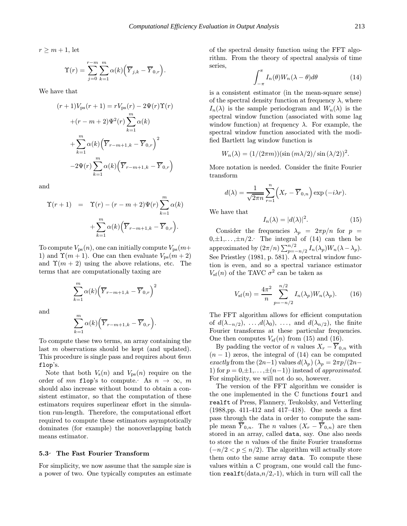$r \geq m+1$ , let

$$
\Upsilon(r) = \sum_{j=0}^{r-m} \sum_{k=1}^{m} \alpha(k) \Big( \overline{Y}_{j,k} - \overline{Y}_{0,r} \Big).
$$

We have that

$$
(r+1)V_{\text{ps}}(r+1) = rV_{\text{ps}}(r) - 2\Psi(r)\Upsilon(r)
$$

$$
+(r-m+2)\Psi^2(r)\sum_{k=1}^m \alpha(k)
$$

$$
+\sum_{k=1}^m \alpha(k)\left(\overline{Y}_{r-m+1,k} - \overline{Y}_{0,r}\right)^2
$$

$$
-2\Psi(r)\sum_{k=1}^m \alpha(k)\left(\overline{Y}_{r-m+1,k} - \overline{Y}_{0,r}\right)
$$

and

$$
\Upsilon(r+1) = \Upsilon(r) - (r - m + 2)\Psi(r) \sum_{k=1}^{m} \alpha(k)
$$

$$
+ \sum_{k=1}^{m} \alpha(k) (\overline{Y}_{r-m+1,k} - \overline{Y}_{0,r}).
$$

To compute  $V_{\text{ps}}(n)$ , one can initially compute  $V_{\text{ps}}(m+$ 1) and  $\Upsilon(m+1)$ . One can then evaluate  $V_{ps}(m+2)$ and  $\Upsilon(m + 2)$  using the above relations, etc. The terms that are computationally taxing are

$$
\sum_{k=1}^{m} \alpha(k) \Big(\overline{Y}_{r-m+1,k} - \overline{Y}_{0,r}\Big)^2
$$

and

$$
\sum_{k=1}^{m} \alpha(k) \Big( \overline{Y}_{r-m+1,k} - \overline{Y}_{0,r} \Big).
$$

To compute these two terms, an array containing the last m observations should be kept (and updated). This procedure is single pass and requires about 6mn flop's.

Note that both  $V_{s}(n)$  and  $V_{ps}(n)$  require on the order of mn flop's to compute. As  $n \to \infty$ , m should also increase without bound to obtain a consistent estimator, so that the computation of these estimators requires superlinear effort in the simulation run-length. Therefore, the computational effort required to compute these estimators asymptotically dominates (for example) the nonoverlapping batch means estimator.

#### 5.3 The Fast Fourier Transform

For simplicity, we now assume that the sample size is a power of two. One typically computes an estimate of the spectral density function using the FFT algorithm. From the theory of spectral analysis of time series,

$$
\int_{-\pi}^{\pi} I_n(\theta) W_n(\lambda - \theta) d\theta \tag{14}
$$

is a consistent estimator (in the mean-square sense) of the spectral density function at frequency  $\lambda$ , where  $I_n(\lambda)$  is the sample periodogram and  $W_n(\lambda)$  is the spectral window function (associated with some lag window function) at frequency  $\lambda$ . For example, the spectral window function associated with the modified Bartlett lag window function is

$$
W_n(\lambda) = (1/(2\pi m))(\sin (m\lambda/2)/\sin (\lambda/2))^2.
$$

More notation is needed. Consider the finite Fourier transform

$$
d(\lambda) = \frac{1}{\sqrt{2\pi n}} \sum_{r=1}^{n} \left( X_r - \overline{Y}_{0,n} \right) \exp(-i\lambda r).
$$

We have that

$$
I_n(\lambda) = |d(\lambda)|^2. \tag{15}
$$

Consider the frequencies  $\lambda_p = 2\pi p/n$  for  $p =$  $0,\pm 1,\ldots,\pm n/2$ . The integral of (14) can then be approximated by  $(2\pi/n) \sum_{p=-n/2}^{n/2} I_n(\lambda_p) W_n(\lambda - \lambda_p)$ . See Priestley (1981, p. 581). A spectral window function is even, and so a spectral variance estimator  $V_{\rm sf}(n)$  of the TAVC  $\sigma^2$  can be taken as

$$
V_{\rm sf}(n) = \frac{4\pi^2}{n} \sum_{p=-n/2}^{n/2} I_n(\lambda_p) W_n(\lambda_p).
$$
 (16)

The FFT algorithm allows for efficient computation of  $d(\lambda_{-n/2}), \ldots, d(\lambda_0), \ldots$ , and  $d(\lambda_{n/2}),$  the finite Fourier transforms at these particular frequencies. One then computes  $V_{\text{sf}}(n)$  from (15) and (16).

By padding the vector of n values  $X_r - \overline{Y}_{0,n}$  with  $(n-1)$  zeros, the integral of (14) can be computed exactly from the  $(2n-1)$  values  $d(\lambda_p)(\lambda_p = 2\pi p/(2n-1))$ 1) for  $p = 0, \pm 1, \ldots, \pm (n-1)$  instead of approximated. For simplicity, we will not do so, however.

The version of the FFT algorithm we consider is the one implemented in the C functions four1 and realft of Press, Flannery, Teukolsky, and Vetterling (1988,pp. 411-412 and 417–418). One needs a first pass through the data in order to compute the sample mean  $\overline{Y}_{0,n}$ . The *n* values  $(X_r - \overline{Y}_{0,n})$  are then stored in an array, called data, say. One also needs to store the n values of the finite Fourier transforms  $(-n/2 < p \leq n/2)$ . The algorithm will actually store them onto the same array data. To compute these values within a C program, one would call the function realft(data, $n/2,-1$ ), which in turn will call the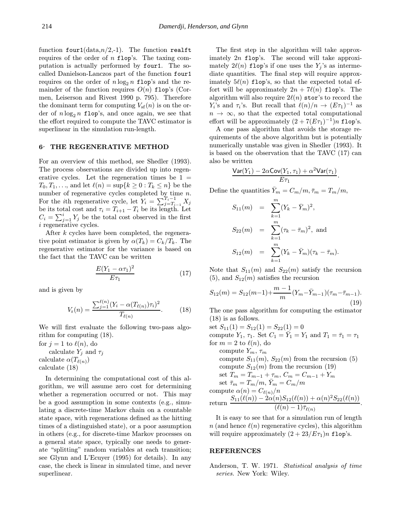function four1( $data, n/2,-1$ ). The function realft requires of the order of  $n$  flop's. The taxing computation is actually performed by four1. The socalled Danielson-Lanczos part of the function four1 requires on the order of  $n \log_2 n$  flop's and the remainder of the function requires  $O(n)$  flop's (Cormen, Leiserson and Rivest 1990 p. 795). Therefore the dominant term for computing  $V_{\text{sf}}(n)$  is on the order of  $n \log_2 n$  flop's, and once again, we see that the effort required to compute the TAVC estimator is superlinear in the simulation run-length.

### 6 THE REGENERATIVE METHOD

For an overview of this method, see Shedler (1993). The process observations are divided up into regenerative cycles. Let the regeneration times be  $1 =$  $T_0, T_1, \ldots$ , and let  $\ell(n) = \sup\{k \geq 0 : T_k \leq n\}$  be the number of regenerative cycles completed by time  $n$ . For the *i*th regenerative cycle, let  $Y_i = \sum_{j=T_{i-1}}^{T_i-1} X_j$ be its total cost and  $\tau_i = T_{i+1} - T_i$  be its length. Let  $C_i = \sum_{j=1}^i Y_j$  be the total cost observed in the first i regenerative cycles.

After k cycles have been completed, the regenerative point estimator is given by  $\alpha(T_k) = C_k/T_k$ . The regenerative estimator for the variance is based on the fact that the TAVC can be written

$$
\frac{E(Y_1 - \alpha \tau_1)^2}{E \tau_1} \tag{17}
$$

and is given by

$$
V_{\rm r}(n) = \frac{\sum_{j=1}^{\ell(n)} (Y_i - \alpha(T_{\ell(n)}) \tau_i)^2}{T_{\ell(n)}}.
$$
 (18)

We will first evaluate the following two-pass algorithm for computing (18).

for  $j = 1$  to  $\ell(n)$ , do calculate  $Y_i$  and  $\tau_i$ calculate  $\alpha(T_{\ell(n)})$ 

calculate (18)

In determining the computational cost of this algorithm, we will assume zero cost for determining whether a regeneration occurred or not. This may be a good assumption in some contexts (e.g., simulating a discrete-time Markov chain on a countable state space, with regenerations defined as the hitting times of a distinguished state), or a poor assumption in others (e.g., for discrete-time Markov processes on a general state space, typically one needs to generate "splitting" random variables at each transition; see Glynn and L'Ecuyer (1995) for details). In any case, the check is linear in simulated time, and never superlinear.

The first step in the algorithm will take approximately  $2n$  flop's. The second will take approximately  $2\ell(n)$  flop's if one uses the  $Y_i$ 's as intermediate quantities. The final step will require approximately  $5\ell(n)$  flop's, so that the expected total effort will be approximately  $2n + 7\ell(n)$  flop's. The algorithm will also require  $2\ell(n)$  stor's to record the Y<sub>i</sub>'s and  $\tau_i$ 's. But recall that  $\ell(n)/n \to (E\tau_1)^{-1}$  as  $n \to \infty$ , so that the expected total computational effort will be approximately  $(2 + 7(E_{\tau_1})^{-1})n$  flop's.

A one pass algorithm that avoids the storage requirements of the above algorithm but is potentially numerically unstable was given in Shedler (1993). It is based on the observation that the TAVC (17) can also be written

$$
\frac{\text{Var}(Y_1)-2\alpha \text{Cov}(Y_1,\tau_1)+\alpha^2 \text{Var}(\tau_1)}{E\tau_1}.
$$

Define the quantities  $\bar{Y}_m = C_m/m, \bar{\tau}_m = T_m/m$ ,

$$
S_{11}(m) = \sum_{k=1}^{m} (Y_k - \bar{Y}_m)^2,
$$
  
\n
$$
S_{22}(m) = \sum_{k=1}^{m} (\tau_k - \bar{\tau}_m)^2, \text{ and}
$$
  
\n
$$
S_{12}(m) = \sum_{k=1}^{m} (Y_k - \bar{Y}_m)(\tau_k - \bar{\tau}_m).
$$

Note that  $S_{11}(m)$  and  $S_{22}(m)$  satisfy the recursion  $(5)$ , and  $S_{12}(m)$  satisfies the recursion

$$
S_{12}(m) = S_{12}(m-1) + \frac{m-1}{m} (Y_m - \bar{Y}_{m-1})(\tau_m - \bar{\tau}_{m-1}).
$$
\n(19)

The one pass algorithm for computing the estimator (18) is as follows.

set  $S_{11}(1) = S_{12}(1) = S_{22}(1) = 0$ compute  $Y_1$ ,  $\tau_1$ . Set  $C_1 = \overline{Y}_1 = Y_1$  and  $T_1 = \overline{\tau}_1 = \tau_1$ for  $m = 2$  to  $\ell(n)$ , do compute  $Y_m$ ,  $\tau_m$ compute  $S_{11}(m)$ ,  $S_{22}(m)$  from the recursion (5) compute  $S_{12}(m)$  from the recursion (19) set  $T_m = T_{m-1} + \tau_m$ ,  $C_m = C_{m-1} + Y_m$ set  $\bar{\tau}_m = T_m/m$ ,  $\bar{Y}_m = C_m/m$ compute  $\alpha(n) = C_{\ell(n)}/n$ return  $\frac{S_{11}(\ell(n)) - 2\alpha(n)S_{12}(\ell(n)) + \alpha(n)^2S_{22}(\ell(n))}{\ell(\ell(n)-1)}$  $\frac{\mu(\ell(n)-1)\bar{\tau}_{\ell(n)}\sim 22(\sqrt{n})}{(\ell(n)-1)\bar{\tau}_{\ell(n)}}$ .

It is easy to see that for a simulation run of length n (and hence  $\ell(n)$  regenerative cycles), this algorithm will require approximately  $(2 + 23/E\tau_1)n$  flop's.

#### REFERENCES

Anderson, T. W. 1971. Statistical analysis of time series. New York: Wiley.